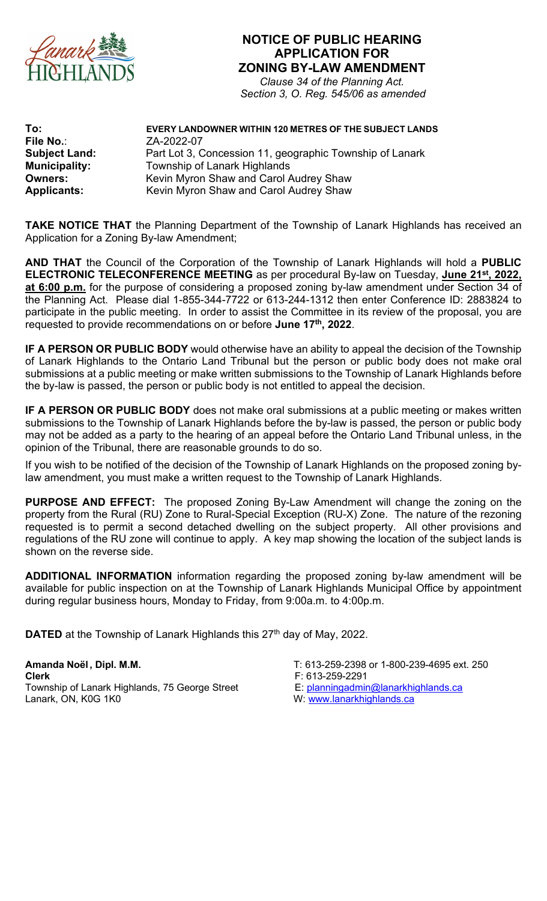

## **NOTICE OF PUBLIC HEARING APPLICATION FOR ZONING BY-LAW AMENDMENT**

*Clause 34 of the Planning Act. Section 3, O. Reg. 545/06 as amended*

**To: EVERY LANDOWNER WITHIN 120 METRES OF THE SUBJECT LANDS File No.**: ZA-2022-07 **Subject Land:** Part Lot 3, Concession 11, geographic Township of Lanark **Municipality:** Township of Lanark Highlands **Owners:** Kevin Myron Shaw and Carol Audrey Shaw **Applicants:** Kevin Myron Shaw and Carol Audrey Shaw

**TAKE NOTICE THAT** the Planning Department of the Township of Lanark Highlands has received an Application for a Zoning By-law Amendment;

**AND THAT** the Council of the Corporation of the Township of Lanark Highlands will hold a **PUBLIC ELECTRONIC TELECONFERENCE MEETING** as per procedural By-law on Tuesday, **June 21st, 2022, at 6:00 p.m.** for the purpose of considering a proposed zoning by-law amendment under Section 34 of the Planning Act. Please dial 1-855-344-7722 or 613-244-1312 then enter Conference ID: 2883824 to participate in the public meeting. In order to assist the Committee in its review of the proposal, you are requested to provide recommendations on or before **June 17th, 2022**.

**IF A PERSON OR PUBLIC BODY** would otherwise have an ability to appeal the decision of the Township of Lanark Highlands to the Ontario Land Tribunal but the person or public body does not make oral submissions at a public meeting or make written submissions to the Township of Lanark Highlands before the by-law is passed, the person or public body is not entitled to appeal the decision.

**IF A PERSON OR PUBLIC BODY** does not make oral submissions at a public meeting or makes written submissions to the Township of Lanark Highlands before the by-law is passed, the person or public body may not be added as a party to the hearing of an appeal before the Ontario Land Tribunal unless, in the opinion of the Tribunal, there are reasonable grounds to do so.

If you wish to be notified of the decision of the Township of Lanark Highlands on the proposed zoning bylaw amendment, you must make a written request to the Township of Lanark Highlands.

**PURPOSE AND EFFECT:** The proposed Zoning By-Law Amendment will change the zoning on the property from the Rural (RU) Zone to Rural-Special Exception (RU-X) Zone. The nature of the rezoning requested is to permit a second detached dwelling on the subject property. All other provisions and regulations of the RU zone will continue to apply. A key map showing the location of the subject lands is shown on the reverse side.

**ADDITIONAL INFORMATION** information regarding the proposed zoning by-law amendment will be available for public inspection on at the Township of Lanark Highlands Municipal Office by appointment during regular business hours, Monday to Friday, from 9:00a.m. to 4:00p.m.

**DATED** at the Township of Lanark Highlands this 27<sup>th</sup> day of May, 2022.

**Amanda Noël , Dipl. M.M.** T: 613-259-2398 or 1-800-239-4695 ext. 250 **Clerk**<br>Township of Lanark Highlands, 75 George Street F: 613-259-2291<br>E: planningadmin@lanarkhighlands.ca Township of Lanark Highlands, 75 George Street Lanark, ON, K0G 1K0

- 
-